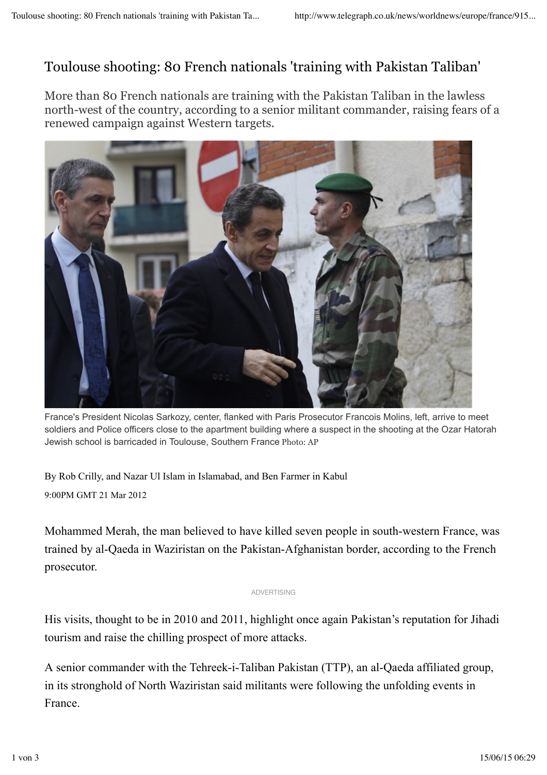## Toulouse shooting: 80 French nationals 'training with Pakistan Taliban'

More than 80 French nationals are training with the Pakistan Taliban in the lawless north-west of the country, according to a senior militant commander, raising fears of a renewed campaign against Western targets.



France's President Nicolas Sarkozy, center, flanked with Paris Prosecutor Francois Molins, left, arrive to meet soldiers and Police officers close to the apartment building where a suspect in the shooting at the Ozar Hatorah Jewish school is barricaded in Toulouse, Southern France Photo: AP

By Rob Crilly, and Nazar Ul Islam in Islamabad, and Ben Farmer in Kabul 9:00PM GMT 21 Mar 2012

Mohammed Merah, the man believed to have killed seven people in south-western France, was trained by al-Qaeda in Waziristan on the Pakistan-Afghanistan border, according to the French prosecutor.

## ADVERTISING

His visits, thought to be in 2010 and 2011, highlight once again Pakistan's reputation for Jihadi tourism and raise the chilling prospect of more attacks.

A senior commander with the Tehreek-i-Taliban Pakistan (TTP), an al-Qaeda affiliated group, in its stronghold of North Waziristan said militants were following the unfolding events in France.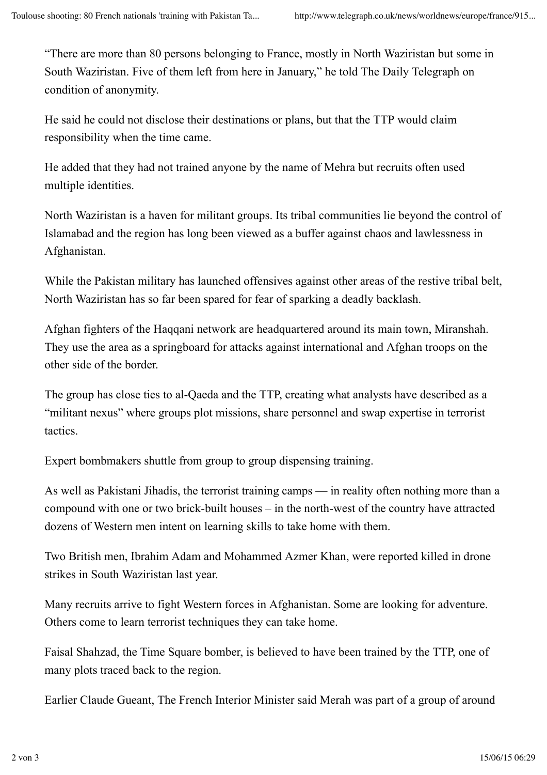"There are more than 80 persons belonging to France, mostly in North Waziristan but some in South Waziristan. Five of them left from here in January," he told The Daily Telegraph on condition of anonymity.

He said he could not disclose their destinations or plans, but that the TTP would claim responsibility when the time came.

He added that they had not trained anyone by the name of Mehra but recruits often used multiple identities.

North Waziristan is a haven for militant groups. Its tribal communities lie beyond the control of Islamabad and the region has long been viewed as a buffer against chaos and lawlessness in Afghanistan.

While the Pakistan military has launched offensives against other areas of the restive tribal belt, North Waziristan has so far been spared for fear of sparking a deadly backlash.

Afghan fighters of the Haqqani network are headquartered around its main town, Miranshah. They use the area as a springboard for attacks against international and Afghan troops on the other side of the border.

The group has close ties to al-Qaeda and the TTP, creating what analysts have described as a "militant nexus" where groups plot missions, share personnel and swap expertise in terrorist tactics.

Expert bombmakers shuttle from group to group dispensing training.

As well as Pakistani Jihadis, the terrorist training camps — in reality often nothing more than a compound with one or two brick-built houses – in the north-west of the country have attracted dozens of Western men intent on learning skills to take home with them.

Two British men, Ibrahim Adam and Mohammed Azmer Khan, were reported killed in drone strikes in South Waziristan last year.

Many recruits arrive to fight Western forces in Afghanistan. Some are looking for adventure. Others come to learn terrorist techniques they can take home.

Faisal Shahzad, the Time Square bomber, is believed to have been trained by the TTP, one of many plots traced back to the region.

Earlier Claude Gueant, The French Interior Minister said Merah was part of a group of around